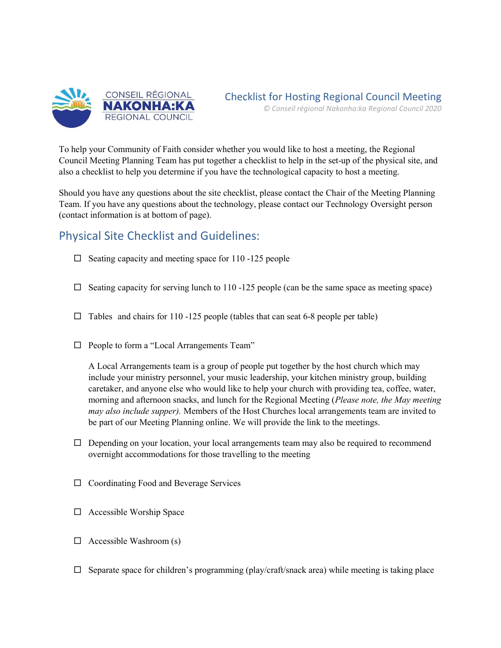

To help your Community of Faith consider whether you would like to host a meeting, the Regional Council Meeting Planning Team has put together a checklist to help in the set-up of the physical site, and also a checklist to help you determine if you have the technological capacity to host a meeting.

Should you have any questions about the site checklist, please contact the Chair of the Meeting Planning Team. If you have any questions about the technology, please contact our Technology Oversight person (contact information is at bottom of page).

## Physical Site Checklist and Guidelines:

- $\Box$  Seating capacity and meeting space for 110 -125 people
- $\Box$  Seating capacity for serving lunch to 110 -125 people (can be the same space as meeting space)
- $\Box$  Tables and chairs for 110 -125 people (tables that can seat 6-8 people per table)
- $\Box$  People to form a "Local Arrangements Team"

A Local Arrangements team is a group of people put together by the host church which may include your ministry personnel, your music leadership, your kitchen ministry group, building caretaker, and anyone else who would like to help your church with providing tea, coffee, water, morning and afternoon snacks, and lunch for the Regional Meeting (Please note, the May meeting may also include supper). Members of the Host Churches local arrangements team are invited to be part of our Meeting Planning online. We will provide the link to the meetings.

- $\Box$  Depending on your location, your local arrangements team may also be required to recommend overnight accommodations for those travelling to the meeting
- $\Box$  Coordinating Food and Beverage Services
- $\Box$  Accessible Worship Space
- $\Box$  Accessible Washroom (s)
- $\Box$  Separate space for children's programming (play/craft/snack area) while meeting is taking place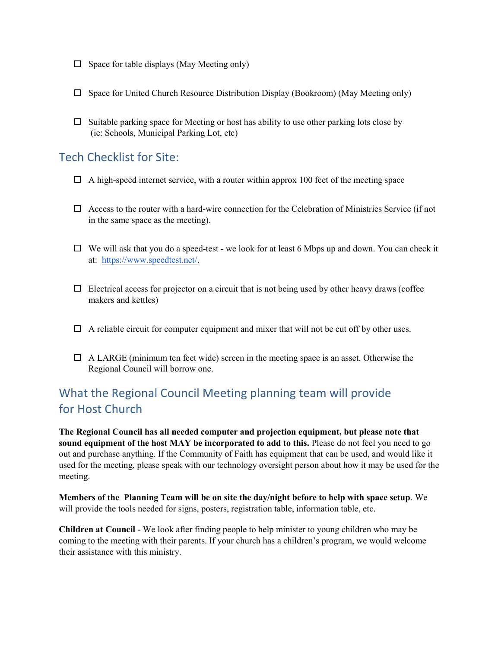- $\Box$  Space for table displays (May Meeting only)
- $\Box$  Space for United Church Resource Distribution Display (Bookroom) (May Meeting only)
- $\Box$  Suitable parking space for Meeting or host has ability to use other parking lots close by (ie: Schools, Municipal Parking Lot, etc)

## Tech Checklist for Site:

- $\Box$  A high-speed internet service, with a router within approx 100 feet of the meeting space
- $\Box$  Access to the router with a hard-wire connection for the Celebration of Ministries Service (if not in the same space as the meeting).
- $\Box$  We will ask that you do a speed-test we look for at least 6 Mbps up and down. You can check it at: https://www.speedtest.net/.
- $\Box$  Electrical access for projector on a circuit that is not being used by other heavy draws (coffee makers and kettles)
- $\Box$  A reliable circuit for computer equipment and mixer that will not be cut off by other uses.
- $\Box$  A LARGE (minimum ten feet wide) screen in the meeting space is an asset. Otherwise the Regional Council will borrow one.

## What the Regional Council Meeting planning team will provide for Host Church

The Regional Council has all needed computer and projection equipment, but please note that sound equipment of the host MAY be incorporated to add to this. Please do not feel you need to go out and purchase anything. If the Community of Faith has equipment that can be used, and would like it used for the meeting, please speak with our technology oversight person about how it may be used for the meeting.

Members of the Planning Team will be on site the day/night before to help with space setup. We will provide the tools needed for signs, posters, registration table, information table, etc.

Children at Council - We look after finding people to help minister to young children who may be coming to the meeting with their parents. If your church has a children's program, we would welcome their assistance with this ministry.